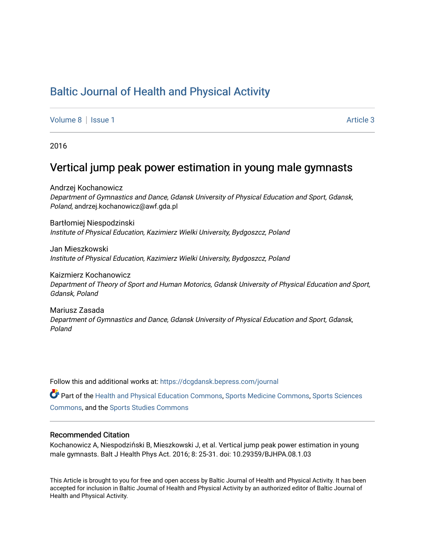# [Baltic Journal of Health and Physical Activity](https://dcgdansk.bepress.com/journal)

[Volume 8](https://dcgdansk.bepress.com/journal/vol8) | [Issue 1](https://dcgdansk.bepress.com/journal/vol8/iss1) Article 3

2016

# Vertical jump peak power estimation in young male gymnasts

Andrzej Kochanowicz Department of Gymnastics and Dance, Gdansk University of Physical Education and Sport, Gdansk, Poland, andrzej.kochanowicz@awf.gda.pl

Bartłomiej Niespodzinski Institute of Physical Education, Kazimierz Wielki University, Bydgoszcz, Poland

Jan Mieszkowski Institute of Physical Education, Kazimierz Wielki University, Bydgoszcz, Poland

Kaizmierz Kochanowicz Department of Theory of Sport and Human Motorics, Gdansk University of Physical Education and Sport, Gdansk, Poland

Mariusz Zasada Department of Gymnastics and Dance, Gdansk University of Physical Education and Sport, Gdansk, Poland

Follow this and additional works at: [https://dcgdansk.bepress.com/journal](https://dcgdansk.bepress.com/journal?utm_source=dcgdansk.bepress.com%2Fjournal%2Fvol8%2Fiss1%2F3&utm_medium=PDF&utm_campaign=PDFCoverPages)

Part of the [Health and Physical Education Commons](http://network.bepress.com/hgg/discipline/1327?utm_source=dcgdansk.bepress.com%2Fjournal%2Fvol8%2Fiss1%2F3&utm_medium=PDF&utm_campaign=PDFCoverPages), [Sports Medicine Commons,](http://network.bepress.com/hgg/discipline/1331?utm_source=dcgdansk.bepress.com%2Fjournal%2Fvol8%2Fiss1%2F3&utm_medium=PDF&utm_campaign=PDFCoverPages) [Sports Sciences](http://network.bepress.com/hgg/discipline/759?utm_source=dcgdansk.bepress.com%2Fjournal%2Fvol8%2Fiss1%2F3&utm_medium=PDF&utm_campaign=PDFCoverPages) [Commons](http://network.bepress.com/hgg/discipline/759?utm_source=dcgdansk.bepress.com%2Fjournal%2Fvol8%2Fiss1%2F3&utm_medium=PDF&utm_campaign=PDFCoverPages), and the [Sports Studies Commons](http://network.bepress.com/hgg/discipline/1198?utm_source=dcgdansk.bepress.com%2Fjournal%2Fvol8%2Fiss1%2F3&utm_medium=PDF&utm_campaign=PDFCoverPages) 

#### Recommended Citation

Kochanowicz A, Niespodziński B, Mieszkowski J, et al. Vertical jump peak power estimation in young male gymnasts. Balt J Health Phys Act. 2016; 8: 25-31. doi: 10.29359/BJHPA.08.1.03

This Article is brought to you for free and open access by Baltic Journal of Health and Physical Activity. It has been accepted for inclusion in Baltic Journal of Health and Physical Activity by an authorized editor of Baltic Journal of Health and Physical Activity.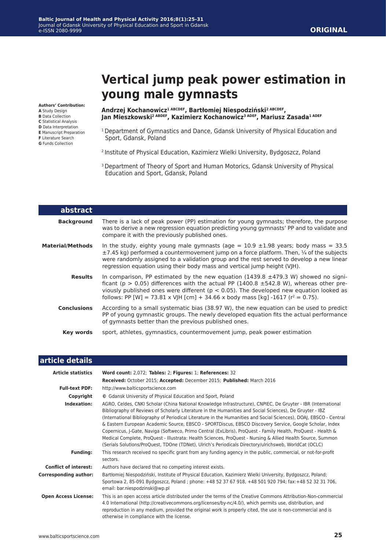# **Vertical jump peak power estimation in young male gymnasts**

**Authors' Contribution:**

- **A** Study Design
- **B** Data Collection
- **C** Statistical Analysis **D** Data Interpretation
- **E** Manuscript Preparation
- **F** Literature Search
- **G** Funds Collection

**Andrzej Kochanowicz1 ABCDEF, Bartłomiej Niespodziński2 ABCDEF, Jan Mieszkowski2 ABDEF, Kazimierz Kochanowicz3 ADEF, Mariusz Zasada1 ADEF**

- <sup>1</sup> Department of Gymnastics and Dance, Gdansk University of Physical Education and Sport, Gdansk, Poland
- <sup>2</sup>Institute of Physical Education, Kazimierz Wielki University, Bydgoszcz, Poland
- <sup>3</sup> Department of Theory of Sport and Human Motorics, Gdansk University of Physical Education and Sport, Gdansk, Poland

| abstract                |                                                                                                                                                                                                                                                                                                                                                                                |
|-------------------------|--------------------------------------------------------------------------------------------------------------------------------------------------------------------------------------------------------------------------------------------------------------------------------------------------------------------------------------------------------------------------------|
| <b>Background</b>       | There is a lack of peak power (PP) estimation for young gymnasts; therefore, the purpose<br>was to derive a new regression equation predicting young gymnasts' PP and to validate and<br>compare it with the previously published ones.                                                                                                                                        |
| <b>Material/Methods</b> | In the study, eighty young male gymnasts (age = $10.9 \pm 1.98$ years; body mass = 33.5<br>$\pm$ 7.45 kg) performed a countermovement jump on a force platform. Then, $\frac{1}{4}$ of the subjects<br>were randomly assigned to a validation group and the rest served to develop a new linear<br>regression equation using their body mass and vertical jump height (VIH).   |
| <b>Results</b>          | In comparison, PP estimated by the new equation (1439.8 $\pm$ 479.3 W) showed no signi-<br>ficant ( $p > 0.05$ ) differences with the actual PP (1400.8 $\pm$ 542.8 W), whereas other pre-<br>viously published ones were different ( $p < 0.05$ ). The developed new equation looked as<br>follows: PP [W] = 73.81 x VJH [cm] + 34.66 x body mass [kg] -1617 ( $r^2$ = 0.75). |
| <b>Conclusions</b>      | According to a small systematic bias (38.97 W), the new equation can be used to predict<br>PP of young gymnastic groups. The newly developed equation fits the actual performance<br>of gymnasts better than the previous published ones.                                                                                                                                      |
| Key words               | sport, athletes, gymnastics, countermovement jump, peak power estimation                                                                                                                                                                                                                                                                                                       |

| article details              |                                                                                                                                                                                                                                                                                                                                                                                                                                                                                                                                                                                                                                                                                                                                                                                                      |
|------------------------------|------------------------------------------------------------------------------------------------------------------------------------------------------------------------------------------------------------------------------------------------------------------------------------------------------------------------------------------------------------------------------------------------------------------------------------------------------------------------------------------------------------------------------------------------------------------------------------------------------------------------------------------------------------------------------------------------------------------------------------------------------------------------------------------------------|
| <b>Article statistics</b>    | Word count: 2,072; Tables: 2; Figures: 1; References: 32                                                                                                                                                                                                                                                                                                                                                                                                                                                                                                                                                                                                                                                                                                                                             |
|                              | Received: October 2015; Accepted: December 2015; Published: March 2016                                                                                                                                                                                                                                                                                                                                                                                                                                                                                                                                                                                                                                                                                                                               |
| <b>Full-text PDF:</b>        | http://www.balticsportscience.com                                                                                                                                                                                                                                                                                                                                                                                                                                                                                                                                                                                                                                                                                                                                                                    |
| Copyright                    | © Gdansk University of Physical Education and Sport, Poland                                                                                                                                                                                                                                                                                                                                                                                                                                                                                                                                                                                                                                                                                                                                          |
| Indexation:                  | AGRO, Celdes, CNKI Scholar (China National Knowledge Infrastructure), CNPIEC, De Gruyter - IBR (International<br>Bibliography of Reviews of Scholarly Literature in the Humanities and Social Sciences), De Gruyter - IBZ<br>(International Bibliography of Periodical Literature in the Humanities and Social Sciences), DOAI, EBSCO - Central<br>& Eastern European Academic Source, EBSCO - SPORTDiscus, EBSCO Discovery Service, Google Scholar, Index<br>Copernicus, J-Gate, Naviga (Softweco, Primo Central (ExLibris), ProQuest - Family Health, ProQuest - Health &<br>Medical Complete, ProQuest - Illustrata: Health Sciences, ProQuest - Nursing & Allied Health Source, Summon<br>(Serials Solutions/ProQuest, TDOne (TDNet), Ulrich's Periodicals Directory/ulrichsweb, WorldCat (OCLC) |
| <b>Funding:</b>              | This research received no specific grant from any funding agency in the public, commercial, or not-for-profit<br>sectors.                                                                                                                                                                                                                                                                                                                                                                                                                                                                                                                                                                                                                                                                            |
| <b>Conflict of interest:</b> | Authors have declared that no competing interest exists.                                                                                                                                                                                                                                                                                                                                                                                                                                                                                                                                                                                                                                                                                                                                             |
| <b>Corresponding author:</b> | Bartłomiej Niespodziński, Institute of Physical Education, Kazimierz Wielki University, Bydgoszcz, Poland;<br>Sportowa 2, 85-091 Bydgoszcz, Poland ; phone: +48 52 37 67 918, +48 501 920 794; fax:+48 52 32 31 706,<br>email: bar.niespodzinski@wp.pl                                                                                                                                                                                                                                                                                                                                                                                                                                                                                                                                               |
| <b>Open Access License:</b>  | This is an open access article distributed under the terms of the Creative Commons Attribution-Non-commercial<br>4.0 International (http://creativecommons.org/licenses/by-nc/4.0/), which permits use, distribution, and<br>reproduction in any medium, provided the original work is properly cited, the use is non-commercial and is<br>otherwise in compliance with the license.                                                                                                                                                                                                                                                                                                                                                                                                                 |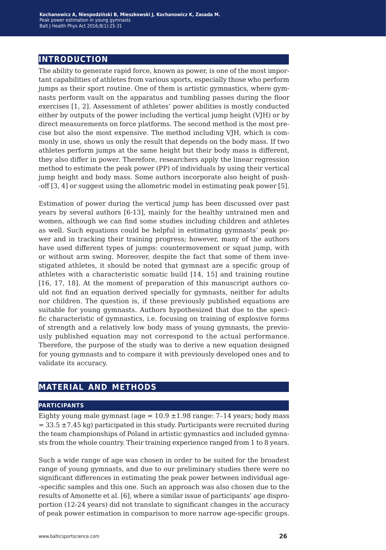# **introduction**

The ability to generate rapid force, known as power, is one of the most important capabilities of athletes from various sports, especially those who perform jumps as their sport routine. One of them is artistic gymnastics, where gymnasts perform vault on the apparatus and tumbling passes during the floor exercises [1, 2]. Assessment of athletes' power abilities is mostly conducted either by outputs of the power including the vertical jump height (VJH) or by direct measurements on force platforms. The second method is the most precise but also the most expensive. The method including VJH, which is commonly in use, shows us only the result that depends on the body mass. If two athletes perform jumps at the same height but their body mass is different, they also differ in power. Therefore, researchers apply the linear regression method to estimate the peak power (PP) of individuals by using their vertical jump height and body mass. Some authors incorporate also height of push- -off [3, 4] or suggest using the allometric model in estimating peak power [5].

Estimation of power during the vertical jump has been discussed over past years by several authors [6-13], mainly for the healthy untrained men and women, although we can find some studies including children and athletes as well. Such equations could be helpful in estimating gymnasts' peak power and in tracking their training progress; however, many of the authors have used different types of jumps: countermovement or squat jump, with or without arm swing. Moreover, despite the fact that some of them investigated athletes, it should be noted that gymnast are a specific group of athletes with a characteristic somatic build [14, 15] and training routine [16, 17, 18]. At the moment of preparation of this manuscript authors could not find an equation derived specially for gymnasts, neither for adults nor children. The question is, if these previously published equations are suitable for young gymnasts. Authors hypothesized that due to the specific characteristic of gymnastics, i.e. focusing on training of explosive forms of strength and a relatively low body mass of young gymnasts, the previously published equation may not correspond to the actual performance. Therefore, the purpose of the study was to derive a new equation designed for young gymnasts and to compare it with previously developed ones and to validate its accuracy.

### **material and methods**

#### **participants**

Eighty young male gymnast (age  $= 10.9 \pm 1.98$  range: 7-14 years; body mass  $=$  33.5  $\pm$ 7.45 kg) participated in this study. Participants were recruited during the team championships of Poland in artistic gymnastics and included gymnasts from the whole country. Their training experience ranged from 1 to 8 years.

Such a wide range of age was chosen in order to be suited for the broadest range of young gymnasts, and due to our preliminary studies there were no significant differences in estimating the peak power between individual age- -specific samples and this one. Such an approach was also chosen due to the results of Amonette et al. [6], where a similar issue of participants' age disproportion (12-24 years) did not translate to significant changes in the accuracy of peak power estimation in comparison to more narrow age-specific groups.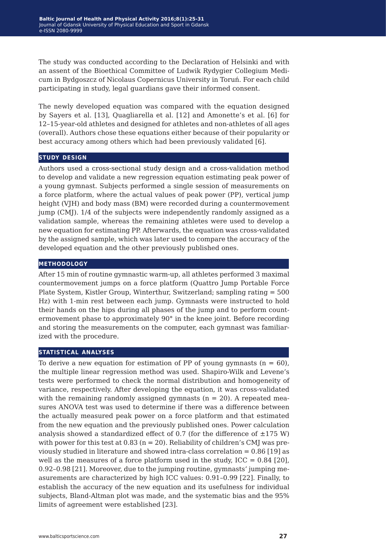The study was conducted according to the Declaration of Helsinki and with an assent of the Bioethical Committee of Ludwik Rydygier Collegium Medicum in Bydgoszcz of Nicolaus Copernicus University in Toruń. For each child participating in study, legal guardians gave their informed consent.

The newly developed equation was compared with the equation designed by Sayers et al. [13], Quagliarella et al. [12] and Amonette's et al. [6] for 12–15-year-old athletes and designed for athletes and non-athletes of all ages (overall). Authors chose these equations either because of their popularity or best accuracy among others which had been previously validated [6].

#### **study design**

Authors used a cross-sectional study design and a cross-validation method to develop and validate a new regression equation estimating peak power of a young gymnast. Subjects performed a single session of measurements on a force platform, where the actual values of peak power (PP), vertical jump height (VJH) and body mass (BM) were recorded during a countermovement jump (CMJ). 1/4 of the subjects were independently randomly assigned as a validation sample, whereas the remaining athletes were used to develop a new equation for estimating PP. Afterwards, the equation was cross-validated by the assigned sample, which was later used to compare the accuracy of the developed equation and the other previously published ones.

#### **methodology**

After 15 min of routine gymnastic warm-up, all athletes performed 3 maximal countermovement jumps on a force platform (Quattro Jump Portable Force Plate System, Kistler Group, Winterthur, Switzerland; sampling rating = 500 Hz) with 1-min rest between each jump. Gymnasts were instructed to hold their hands on the hips during all phases of the jump and to perform countermovement phase to approximately 90° in the knee joint. Before recording and storing the measurements on the computer, each gymnast was familiarized with the procedure.

#### **statistical analyses**

To derive a new equation for estimation of PP of young gymnasts  $(n = 60)$ , the multiple linear regression method was used. Shapiro-Wilk and Levene's tests were performed to check the normal distribution and homogeneity of variance, respectively. After developing the equation, it was cross-validated with the remaining randomly assigned gymnasts  $(n = 20)$ . A repeated measures ANOVA test was used to determine if there was a difference between the actually measured peak power on a force platform and that estimated from the new equation and the previously published ones. Power calculation analysis showed a standardized effect of 0.7 (for the difference of  $\pm$ 175 W) with power for this test at 0.83 ( $n = 20$ ). Reliability of children's CMJ was previously studied in literature and showed intra-class correlation = 0.86 [19] as well as the measures of a force platform used in the study,  $ICC = 0.84$  [20], 0.92–0.98 [21]. Moreover, due to the jumping routine, gymnasts' jumping measurements are characterized by high ICC values: 0.91–0.99 [22]. Finally, to establish the accuracy of the new equation and its usefulness for individual subjects, Bland-Altman plot was made, and the systematic bias and the 95% limits of agreement were established [23].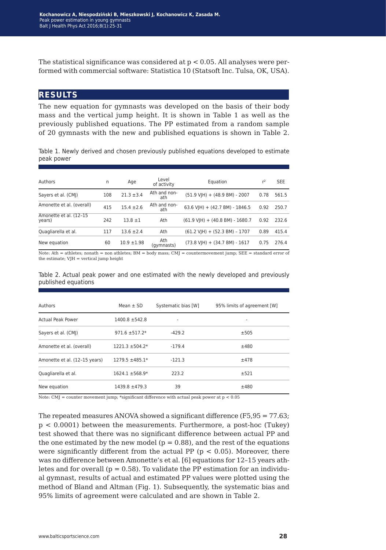The statistical significance was considered at  $p < 0.05$ . All analyses were performed with commercial software: Statistica 10 (Statsoft Inc. Tulsa, OK, USA).

## **results**

The new equation for gymnasts was developed on the basis of their body mass and the vertical jump height. It is shown in Table 1 as well as the previously published equations. The PP estimated from a random sample of 20 gymnasts with the new and published equations is shown in Table 2.

Table 1. Newly derived and chosen previously published equations developed to estimate peak power

| Authors                          | n   | Age             | Level<br>of activity | Equation                                                 | $r^2$ | <b>SEE</b> |
|----------------------------------|-----|-----------------|----------------------|----------------------------------------------------------|-------|------------|
| Sayers et al. (CMJ)              | 108 | $21.3 \pm 3.4$  | Ath and non-<br>ath  | $(51.9 \text{ V} \text{H}) + (48.9 \text{ BM}) - 2007$   | 0.78  | 561.5      |
| Amonette et al. (overall)        | 415 | $15.4 \pm 2.6$  | Ath and non-<br>ath  | 63.6 VJH) + (42.7 BM) - 1846.5                           | 0.92  | 250.7      |
| Amonette et al. (12-15<br>years) | 242 | $13.8 \pm 1$    | Ath                  | $(61.9 \text{ V} \text{H}) + (40.8 \text{ BM}) - 1680.7$ | 0.92  | 232.6      |
| Quagliarella et al.              | 117 | $13.6 \pm 2.4$  | Ath                  | $(61.2 \text{ V} \text{H}) + (52.3 \text{ BM}) - 1707$   | 0.89  | 415.4      |
| New equation                     | 60  | $10.9 \pm 1.98$ | Ath<br>(gymnasts)    | $(73.8 \text{ V} \text{H}) + (34.7 \text{ BM}) - 1617$   | 0.75  | 276.4      |

Note: Ath = athletes; nonath = non athletes; BM = body mass; CMJ = countermovement jump; SEE = standard error of the estimate; VJH = vertical jump height

Table 2. Actual peak power and one estimated with the newly developed and previously published equations

| Authors                       | Mean $\pm$ SD       | Systematic bias [W] | 95% limits of agreement [W] |
|-------------------------------|---------------------|---------------------|-----------------------------|
| <b>Actual Peak Power</b>      | $1400.8 \pm 542.8$  |                     |                             |
| Sayers et al. (CMJ)           | $971.6 \pm 517.2*$  | $-429.2$            | ±505                        |
| Amonette et al. (overall)     | $1221.3 \pm 504.2*$ | $-179.4$            | ±480                        |
| Amonette et al. (12-15 years) | $1279.5 \pm 485.1*$ | $-121.3$            | ±478                        |
| Quagliarella et al.           | $1624.1 + 568.9*$   | 223.2               | ±521                        |
| New equation                  | $1439.8 + 479.3$    | 39                  | ±480                        |

Note: CMJ = counter movement jump; \*significant difference with actual peak power at p < 0.05

The repeated measures ANOVA showed a significant difference (F5,95 = 77.63; p < 0.0001) between the measurements. Furthermore, a post-hoc (Tukey) test showed that there was no significant difference between actual PP and the one estimated by the new model ( $p = 0.88$ ), and the rest of the equations were significantly different from the actual PP ( $p < 0.05$ ). Moreover, there was no difference between Amonette's et al. [6] equations for 12–15 years athletes and for overall ( $p = 0.58$ ). To validate the PP estimation for an individual gymnast, results of actual and estimated PP values were plotted using the method of Bland and Altman (Fig. 1). Subsequently, the systematic bias and 95% limits of agreement were calculated and are shown in Table 2.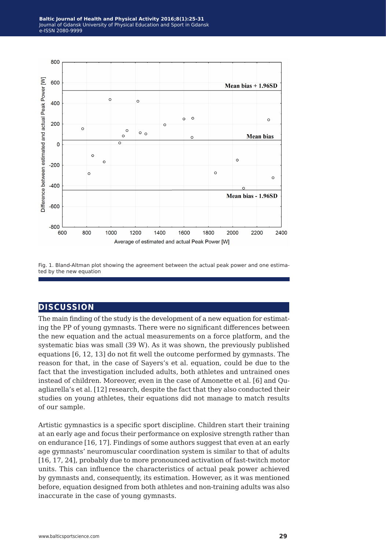

Fig. 1. Bland-Altman plot showing the agreement between the actual peak power and one estimated by the new equation

## **discussion**

The main finding of the study is the development of a new equation for estimating the PP of young gymnasts. There were no significant differences between the new equation and the actual measurements on a force platform, and the systematic bias was small (39 W). As it was shown, the previously published equations [6, 12, 13] do not fit well the outcome performed by gymnasts. The reason for that, in the case of Sayers's et al. equation, could be due to the fact that the investigation included adults, both athletes and untrained ones instead of children. Moreover, even in the case of Amonette et al. [6] and Quagliarella's et al. [12] research, despite the fact that they also conducted their studies on young athletes, their equations did not manage to match results of our sample.

Artistic gymnastics is a specific sport discipline. Children start their training at an early age and focus their performance on explosive strength rather than on endurance [16, 17]. Findings of some authors suggest that even at an early age gymnasts' neuromuscular coordination system is similar to that of adults [16, 17, 24], probably due to more pronounced activation of fast-twitch motor units. This can influence the characteristics of actual peak power achieved by gymnasts and, consequently, its estimation. However, as it was mentioned before, equation designed from both athletes and non-training adults was also inaccurate in the case of young gymnasts.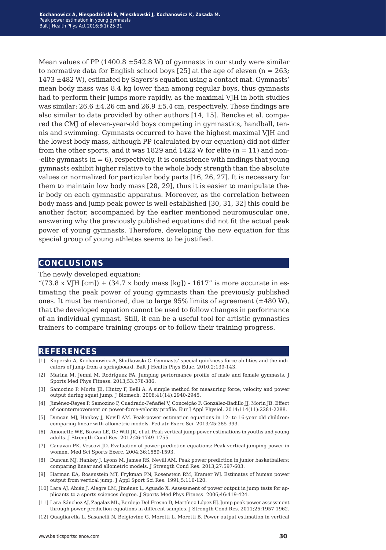Mean values of PP (1400.8  $\pm$  542.8 W) of gymnasts in our study were similar to normative data for English school boys  $[25]$  at the age of eleven  $(n = 263;$ 1473 ±482 W), estimated by Sayers's equation using a contact mat. Gymnasts' mean body mass was 8.4 kg lower than among regular boys, thus gymnasts had to perform their jumps more rapidly, as the maximal VJH in both studies was similar:  $26.6 \pm 4.26$  cm and  $26.9 \pm 5.4$  cm, respectively. These findings are also similar to data provided by other authors [14, 15]. Bencke et al. compared the CMJ of eleven-year-old boys competing in gymnastics, handball, tennis and swimming. Gymnasts occurred to have the highest maximal VJH and the lowest body mass, although PP (calculated by our equation) did not differ from the other sports, and it was 1829 and 1422 W for elite  $(n = 11)$  and non--elite gymnasts  $(n = 6)$ , respectively. It is consistence with findings that young gymnasts exhibit higher relative to the whole body strength than the absolute values or normalized for particular body parts [16, 26, 27]. It is necessary for them to maintain low body mass [28, 29], thus it is easier to manipulate their body on each gymnastic apparatus. Moreover, as the correlation between body mass and jump peak power is well established [30, 31, 32] this could be another factor, accompanied by the earlier mentioned neuromuscular one, answering why the previously published equations did not fit the actual peak power of young gymnasts. Therefore, developing the new equation for this special group of young athletes seems to be justified.

# **conclusions**

The newly developed equation:

"(73.8 x VJH  $[cm]$ ) + (34.7 x body mass  $[kg]$ ) - 1617" is more accurate in estimating the peak power of young gymnasts than the previously published ones. It must be mentioned, due to large 95% limits of agreement  $(\pm 480 \text{ W})$ , that the developed equation cannot be used to follow changes in performance of an individual gymnast. Still, it can be a useful tool for artistic gymnastics trainers to compare training groups or to follow their training progress.

#### **references**

- [1] Koperski A, Kochanowicz A, Słodkowski C. Gymnasts' special quickness-force abilities and the indicators of jump from a springboard. Balt J Health Phys Educ. 2010;2:139-143.
- [2] Marina M, Jemni M, Rodríguez FA. Jumping performance profile of male and female gymnasts. J Sports Med Phys Fitness. 2013;53:378-386.
- [3] Samozino P, Morin JB, Hintzy F, Belli A. A simple method for measuring force, velocity and power output during squat jump. J Biomech. 2008;41(14):2940-2945.
- [4] Jiménez-Reyes P, Samozino P, Cuadrado-Peñafiel V, Conceição F, González-Badillo JJ, Morin JB. Effect of countermovement on power-force-velocity profile. Eur J Appl Physiol. 2014;114(11):2281-2288.
- [5] Duncan MJ, Hankey J, Nevill AM. Peak-power estimation equations in 12- to 16-year old children: comparing linear with allometric models. Pediatr Exerc Sci. 2013;25:385-393.
- [6] Amonette WE, Brown LE, De Witt JK, et al. Peak vertical jump power estimations in youths and young adults. J Strength Cond Res. 2012;26:1749–1755.
- [7] Canavan PK, Vescovi JD. Evaluation of power prediction equations: Peak vertical jumping power in women. Med Sci Sports Exerc. 2004;36:1589-1593.
- [8] Duncan MJ, Hankey J, Lyons M, James RS, Nevill AM. Peak power prediction in junior basketballers: comparing linear and allometric models. J Strength Cond Res. 2013;27:597-603.
- [9] Harman EA, Rosenstein MT, Frykman PN, Rosenstein RM, Kramer WJ. Estimates of human power output from vertical jump. J Appl Sport Sci Res. 1991;5:116-120.
- [10] Lara AJ, Abián J, Alegre LM, Jiménez L, Aguado X. Assessment of power output in jump tests for applicants to a sports sciences degree. J Sports Med Phys Fitness. 2006;46:419-424.
- [11] Lara-Sánchez AJ, Zagalaz ML, Berdejo-Del-Fresno D, Martínez-López EJ. Jump peak power assessment through power prediction equations in different samples. J Strength Cond Res. 2011;25:1957-1962.
- [12] Quagliarella L, Sasanelli N, Belgiovine G, Moretti L, Moretti B. Power output estimation in vertical